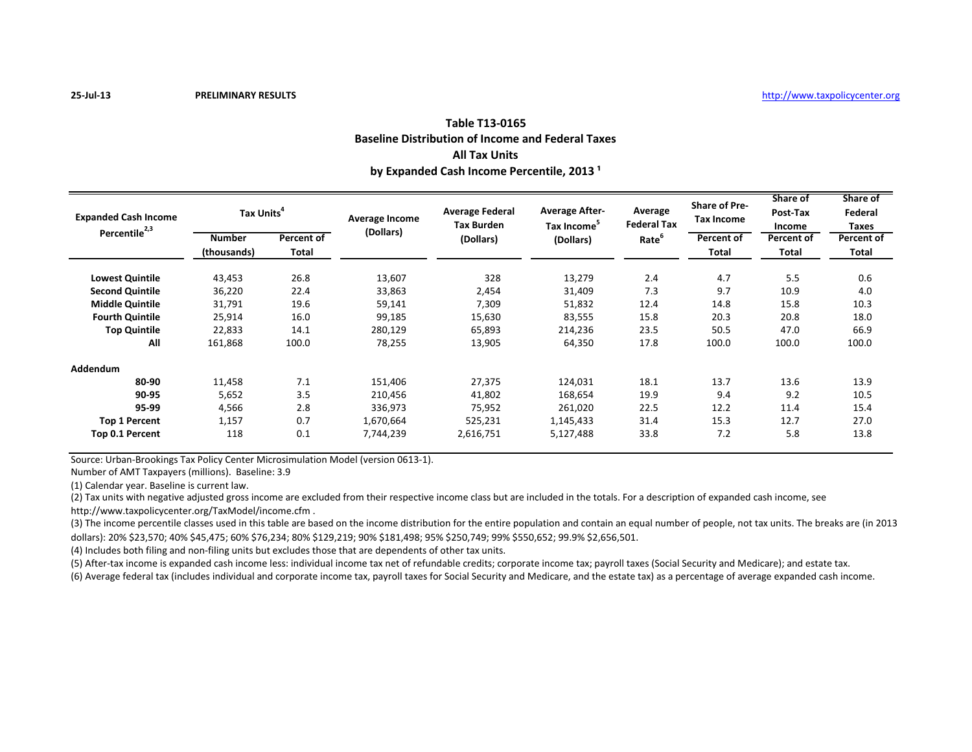**25-Jul-13 PRELIMINARY RESULTS** [ht](http://www.taxpolicycenter.org/)tp://www.taxpolicycenter.org

#### **Table T13-0165 Baseline Distribution of Income and Federal Taxes All Tax Units** by Expanded Cash Income Percentile, 2013<sup>1</sup>

| <b>Expanded Cash Income</b><br>Percentile <sup>2,3</sup> | Tax Units <sup>"</sup>       |                            | Average Income | <b>Average Federal</b><br><b>Tax Burden</b> | <b>Average After-</b><br>Tax Income <sup>5</sup> | Average<br><b>Federal Tax</b> | <b>Share of Pre-</b><br><b>Tax Income</b> | Share of<br>Post-Tax<br>Income | Share of<br>Federal<br>Taxes |
|----------------------------------------------------------|------------------------------|----------------------------|----------------|---------------------------------------------|--------------------------------------------------|-------------------------------|-------------------------------------------|--------------------------------|------------------------------|
|                                                          | <b>Number</b><br>(thousands) | Percent of<br><b>Total</b> | (Dollars)      | (Dollars)                                   | (Dollars)                                        | Rate <sup>o</sup>             | Percent of<br><b>Total</b>                | Percent of<br>Total            | Percent of<br>Total          |
| <b>Lowest Quintile</b>                                   | 43,453                       | 26.8                       | 13,607         | 328                                         | 13,279                                           | 2.4                           | 4.7                                       | 5.5                            | 0.6                          |
| <b>Second Quintile</b>                                   | 36,220                       | 22.4                       | 33,863         | 2,454                                       | 31,409                                           | 7.3                           | 9.7                                       | 10.9                           | 4.0                          |
| <b>Middle Quintile</b>                                   | 31,791                       | 19.6                       | 59,141         | 7,309                                       | 51,832                                           | 12.4                          | 14.8                                      | 15.8                           | 10.3                         |
| <b>Fourth Quintile</b>                                   | 25,914                       | 16.0                       | 99,185         | 15,630                                      | 83,555                                           | 15.8                          | 20.3                                      | 20.8                           | 18.0                         |
| <b>Top Quintile</b>                                      | 22,833                       | 14.1                       | 280,129        | 65,893                                      | 214,236                                          | 23.5                          | 50.5                                      | 47.0                           | 66.9                         |
| All                                                      | 161,868                      | 100.0                      | 78,255         | 13,905                                      | 64,350                                           | 17.8                          | 100.0                                     | 100.0                          | 100.0                        |
| Addendum                                                 |                              |                            |                |                                             |                                                  |                               |                                           |                                |                              |
| 80-90                                                    | 11,458                       | 7.1                        | 151,406        | 27,375                                      | 124,031                                          | 18.1                          | 13.7                                      | 13.6                           | 13.9                         |
| 90-95                                                    | 5,652                        | 3.5                        | 210,456        | 41,802                                      | 168,654                                          | 19.9                          | 9.4                                       | 9.2                            | 10.5                         |
| 95-99                                                    | 4,566                        | 2.8                        | 336,973        | 75,952                                      | 261,020                                          | 22.5                          | 12.2                                      | 11.4                           | 15.4                         |
| <b>Top 1 Percent</b>                                     | 1,157                        | 0.7                        | 1,670,664      | 525,231                                     | 1,145,433                                        | 31.4                          | 15.3                                      | 12.7                           | 27.0                         |
| Top 0.1 Percent                                          | 118                          | 0.1                        | 7,744,239      | 2,616,751                                   | 5,127,488                                        | 33.8                          | 7.2                                       | 5.8                            | 13.8                         |

Source: Urban-Brookings Tax Policy Center Microsimulation Model (version 0613-1).

Number of AMT Taxpayers (millions). Baseline: 3.9

(1) Calendar year. Baseline is current law.

(2) Tax units with negative adjusted gross income are excluded from their respective income class but are included in the totals. For a description of expanded cash income, see

http://www.taxpolicycenter.org/TaxModel/income.cfm .

(3) The income percentile classes used in this table are based on the income distribution for the entire population and contain an equal number of people, not tax units. The breaks are (in 2013 dollars): 20% \$23,570; 40% \$45,475; 60% \$76,234; 80% \$129,219; 90% \$181,498; 95% \$250,749; 99% \$550,652; 99.9% \$2,656,501.

(4) Includes both filing and non-filing units but excludes those that are dependents of other tax units.

(5) After-tax income is expanded cash income less: individual income tax net of refundable credits; corporate income tax; payroll taxes (Social Security and Medicare); and estate tax.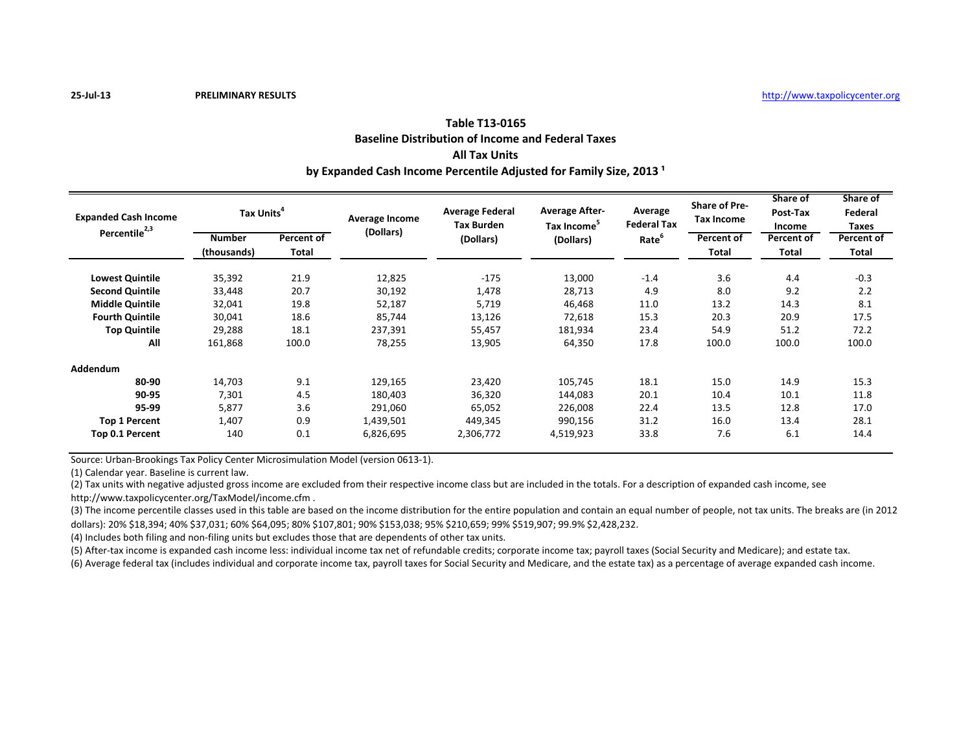### **Table T13-0165 Baseline Distribution of Income and Federal Taxes All Tax Units** by Expanded Cash Income Percentile Adjusted for Family Size, 2013<sup>1</sup>

| <b>Expanded Cash Income</b><br>Percentile <sup>2,3</sup> | Tax Units <sup>4</sup>       |                     | <b>Average Income</b> | <b>Average Federal</b><br><b>Tax Burden</b> | <b>Average After-</b><br>Tax Income | Average<br><b>Federal Tax</b> | <b>Share of Pre-</b><br><b>Tax Income</b> | Share of<br>Post-Tax<br>Income | Share of<br>Federal<br>Taxes |
|----------------------------------------------------------|------------------------------|---------------------|-----------------------|---------------------------------------------|-------------------------------------|-------------------------------|-------------------------------------------|--------------------------------|------------------------------|
|                                                          | <b>Number</b><br>(thousands) | Percent of<br>Total | (Dollars)             | (Dollars)                                   | (Dollars)                           | Rate                          | Percent of<br><b>Total</b>                | Percent of<br>Total            | Percent of<br><b>Total</b>   |
| <b>Lowest Quintile</b>                                   | 35,392                       | 21.9                | 12,825                | $-175$                                      | 13,000                              | $-1.4$                        | 3.6                                       | 4.4                            | $-0.3$                       |
| <b>Second Quintile</b>                                   | 33,448                       | 20.7                | 30,192                | 1,478                                       | 28,713                              | 4.9                           | 8.0                                       | 9.2                            | 2.2                          |
| <b>Middle Quintile</b>                                   | 32,041                       | 19.8                | 52,187                | 5,719                                       | 46,468                              | 11.0                          | 13.2                                      | 14.3                           | 8.1                          |
| <b>Fourth Quintile</b>                                   | 30,041                       | 18.6                | 85,744                | 13,126                                      | 72,618                              | 15.3                          | 20.3                                      | 20.9                           | 17.5                         |
| <b>Top Quintile</b>                                      | 29,288                       | 18.1                | 237,391               | 55,457                                      | 181,934                             | 23.4                          | 54.9                                      | 51.2                           | 72.2                         |
| All                                                      | 161,868                      | 100.0               | 78,255                | 13,905                                      | 64,350                              | 17.8                          | 100.0                                     | 100.0                          | 100.0                        |
| <b>Addendum</b>                                          |                              |                     |                       |                                             |                                     |                               |                                           |                                |                              |
| 80-90                                                    | 14,703                       | 9.1                 | 129,165               | 23,420                                      | 105,745                             | 18.1                          | 15.0                                      | 14.9                           | 15.3                         |
| 90-95                                                    | 7,301                        | 4.5                 | 180,403               | 36,320                                      | 144,083                             | 20.1                          | 10.4                                      | 10.1                           | 11.8                         |
| 95-99                                                    | 5,877                        | 3.6                 | 291,060               | 65,052                                      | 226,008                             | 22.4                          | 13.5                                      | 12.8                           | 17.0                         |
| <b>Top 1 Percent</b>                                     | 1,407                        | 0.9                 | 1,439,501             | 449,345                                     | 990,156                             | 31.2                          | 16.0                                      | 13.4                           | 28.1                         |
| Top 0.1 Percent                                          | 140                          | 0.1                 | 6,826,695             | 2,306,772                                   | 4,519,923                           | 33.8                          | 7.6                                       | 6.1                            | 14.4                         |

Source: Urban-Brookings Tax Policy Center Microsimulation Model (version 0613-1).

(1) Calendar year. Baseline is current law.

(2) Tax units with negative adjusted gross income are excluded from their respective income class but are included in the totals. For a description of expanded cash income, see

http://www.taxpolicycenter.org/TaxModel/income.cfm .

(3) The income percentile classes used in this table are based on the income distribution for the entire population and contain an equal number of people, not tax units. The breaks are (in 2012 dollars): 20% \$18,394; 40% \$37,031; 60% \$64,095; 80% \$107,801; 90% \$153,038; 95% \$210,659; 99% \$519,907; 99.9% \$2,428,232.

(4) Includes both filing and non-filing units but excludes those that are dependents of other tax units.

(5) After-tax income is expanded cash income less: individual income tax net of refundable credits; corporate income tax; payroll taxes (Social Security and Medicare); and estate tax.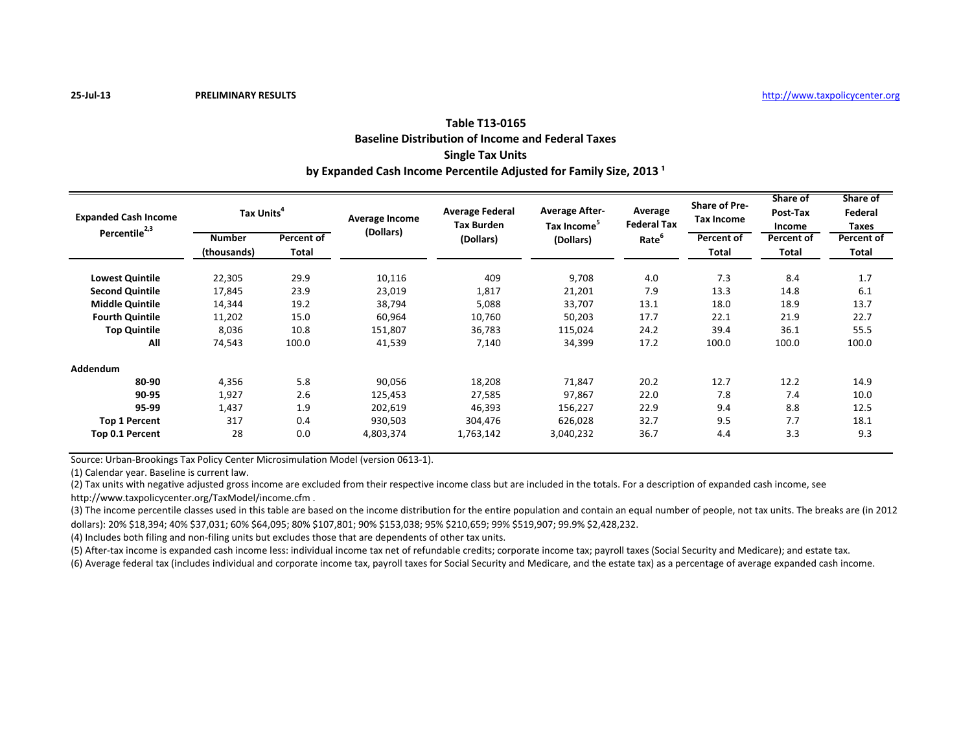### **Table T13-0165 Baseline Distribution of Income and Federal Taxes Single Tax Units** by Expanded Cash Income Percentile Adjusted for Family Size, 2013<sup>1</sup>

| <b>Expanded Cash Income</b><br>Percentile <sup>2,3</sup> | Tax Units <sup>4</sup>       |                     | <b>Average Income</b> | <b>Average Federal</b><br><b>Tax Burden</b> | <b>Average After-</b><br>Tax Income | Average<br><b>Federal Tax</b> | <b>Share of Pre-</b><br><b>Tax Income</b> | Share of<br>Post-Tax<br>Income | Share of<br>Federal<br>Taxes |
|----------------------------------------------------------|------------------------------|---------------------|-----------------------|---------------------------------------------|-------------------------------------|-------------------------------|-------------------------------------------|--------------------------------|------------------------------|
|                                                          | <b>Number</b><br>(thousands) | Percent of<br>Total | (Dollars)             | (Dollars)                                   | (Dollars)                           | Rate                          | Percent of<br><b>Total</b>                | Percent of<br>Total            | Percent of<br><b>Total</b>   |
| <b>Lowest Quintile</b>                                   | 22,305                       | 29.9                | 10,116                | 409                                         | 9,708                               | 4.0                           | 7.3                                       | 8.4                            | 1.7                          |
| <b>Second Quintile</b>                                   | 17,845                       | 23.9                | 23,019                | 1,817                                       | 21,201                              | 7.9                           | 13.3                                      | 14.8                           | 6.1                          |
| <b>Middle Quintile</b>                                   | 14,344                       | 19.2                | 38,794                | 5,088                                       | 33,707                              | 13.1                          | 18.0                                      | 18.9                           | 13.7                         |
| <b>Fourth Quintile</b>                                   | 11,202                       | 15.0                | 60,964                | 10,760                                      | 50,203                              | 17.7                          | 22.1                                      | 21.9                           | 22.7                         |
| <b>Top Quintile</b>                                      | 8,036                        | 10.8                | 151,807               | 36,783                                      | 115,024                             | 24.2                          | 39.4                                      | 36.1                           | 55.5                         |
| All                                                      | 74,543                       | 100.0               | 41,539                | 7,140                                       | 34,399                              | 17.2                          | 100.0                                     | 100.0                          | 100.0                        |
| <b>Addendum</b>                                          |                              |                     |                       |                                             |                                     |                               |                                           |                                |                              |
| 80-90                                                    | 4,356                        | 5.8                 | 90,056                | 18,208                                      | 71,847                              | 20.2                          | 12.7                                      | 12.2                           | 14.9                         |
| 90-95                                                    | 1,927                        | 2.6                 | 125,453               | 27,585                                      | 97,867                              | 22.0                          | 7.8                                       | 7.4                            | 10.0                         |
| 95-99                                                    | 1,437                        | 1.9                 | 202,619               | 46,393                                      | 156,227                             | 22.9                          | 9.4                                       | 8.8                            | 12.5                         |
| <b>Top 1 Percent</b>                                     | 317                          | 0.4                 | 930,503               | 304,476                                     | 626,028                             | 32.7                          | 9.5                                       | 7.7                            | 18.1                         |
| Top 0.1 Percent                                          | 28                           | 0.0                 | 4,803,374             | 1,763,142                                   | 3,040,232                           | 36.7                          | 4.4                                       | 3.3                            | 9.3                          |

Source: Urban-Brookings Tax Policy Center Microsimulation Model (version 0613-1).

(1) Calendar year. Baseline is current law.

(2) Tax units with negative adjusted gross income are excluded from their respective income class but are included in the totals. For a description of expanded cash income, see

http://www.taxpolicycenter.org/TaxModel/income.cfm .

(3) The income percentile classes used in this table are based on the income distribution for the entire population and contain an equal number of people, not tax units. The breaks are (in 2012 dollars): 20% \$18,394; 40% \$37,031; 60% \$64,095; 80% \$107,801; 90% \$153,038; 95% \$210,659; 99% \$519,907; 99.9% \$2,428,232.

(4) Includes both filing and non-filing units but excludes those that are dependents of other tax units.

(5) After-tax income is expanded cash income less: individual income tax net of refundable credits; corporate income tax; payroll taxes (Social Security and Medicare); and estate tax.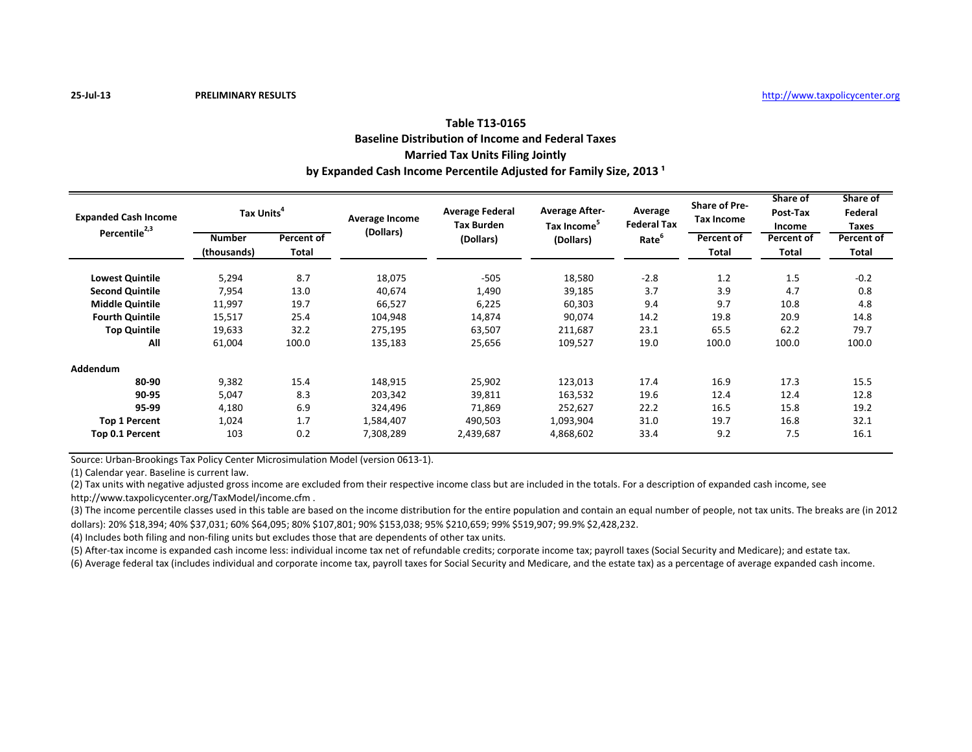## **Table T13-0165 Baseline Distribution of Income and Federal Taxes Married Tax Units Filing Jointly** by Expanded Cash Income Percentile Adjusted for Family Size, 2013<sup>1</sup>

| <b>Expanded Cash Income</b><br>Percentile <sup>2,3</sup> | Tax Units <sup>4</sup>       |                            | Average Income | <b>Average Federal</b><br><b>Tax Burden</b> | <b>Average After-</b><br>Tax Income <sup>5</sup> | Average<br><b>Federal Tax</b> | <b>Share of Pre-</b><br><b>Tax Income</b> | Share of<br>Post-Tax<br>Income | Share of<br>Federal<br>Taxes |
|----------------------------------------------------------|------------------------------|----------------------------|----------------|---------------------------------------------|--------------------------------------------------|-------------------------------|-------------------------------------------|--------------------------------|------------------------------|
|                                                          | <b>Number</b><br>(thousands) | Percent of<br><b>Total</b> | (Dollars)      | (Dollars)                                   | (Dollars)                                        | Rate <sup>6</sup>             | Percent of<br><b>Total</b>                | Percent of<br>Total            | Percent of<br><b>Total</b>   |
| <b>Lowest Quintile</b>                                   | 5,294                        | 8.7                        | 18,075         | $-505$                                      | 18,580                                           | $-2.8$                        | 1.2                                       | 1.5                            | $-0.2$                       |
| <b>Second Quintile</b>                                   | 7,954                        | 13.0                       | 40,674         | 1,490                                       | 39,185                                           | 3.7                           | 3.9                                       | 4.7                            | 0.8                          |
| <b>Middle Quintile</b>                                   | 11,997                       | 19.7                       | 66,527         | 6,225                                       | 60,303                                           | 9.4                           | 9.7                                       | 10.8                           | 4.8                          |
| <b>Fourth Quintile</b>                                   | 15,517                       | 25.4                       | 104,948        | 14,874                                      | 90,074                                           | 14.2                          | 19.8                                      | 20.9                           | 14.8                         |
| <b>Top Quintile</b>                                      | 19,633                       | 32.2                       | 275,195        | 63,507                                      | 211,687                                          | 23.1                          | 65.5                                      | 62.2                           | 79.7                         |
| All                                                      | 61,004                       | 100.0                      | 135,183        | 25,656                                      | 109,527                                          | 19.0                          | 100.0                                     | 100.0                          | 100.0                        |
| <b>Addendum</b>                                          |                              |                            |                |                                             |                                                  |                               |                                           |                                |                              |
| 80-90                                                    | 9,382                        | 15.4                       | 148,915        | 25,902                                      | 123,013                                          | 17.4                          | 16.9                                      | 17.3                           | 15.5                         |
| 90-95                                                    | 5,047                        | 8.3                        | 203,342        | 39,811                                      | 163,532                                          | 19.6                          | 12.4                                      | 12.4                           | 12.8                         |
| 95-99                                                    | 4,180                        | 6.9                        | 324,496        | 71,869                                      | 252,627                                          | 22.2                          | 16.5                                      | 15.8                           | 19.2                         |
| <b>Top 1 Percent</b>                                     | 1,024                        | 1.7                        | 1,584,407      | 490,503                                     | 1,093,904                                        | 31.0                          | 19.7                                      | 16.8                           | 32.1                         |
| Top 0.1 Percent                                          | 103                          | 0.2                        | 7,308,289      | 2,439,687                                   | 4,868,602                                        | 33.4                          | 9.2                                       | 7.5                            | 16.1                         |

Source: Urban-Brookings Tax Policy Center Microsimulation Model (version 0613-1).

(1) Calendar year. Baseline is current law.

(2) Tax units with negative adjusted gross income are excluded from their respective income class but are included in the totals. For a description of expanded cash income, see

http://www.taxpolicycenter.org/TaxModel/income.cfm .

(3) The income percentile classes used in this table are based on the income distribution for the entire population and contain an equal number of people, not tax units. The breaks are (in 2012 dollars): 20% \$18,394; 40% \$37,031; 60% \$64,095; 80% \$107,801; 90% \$153,038; 95% \$210,659; 99% \$519,907; 99.9% \$2,428,232.

(4) Includes both filing and non-filing units but excludes those that are dependents of other tax units.

(5) After-tax income is expanded cash income less: individual income tax net of refundable credits; corporate income tax; payroll taxes (Social Security and Medicare); and estate tax.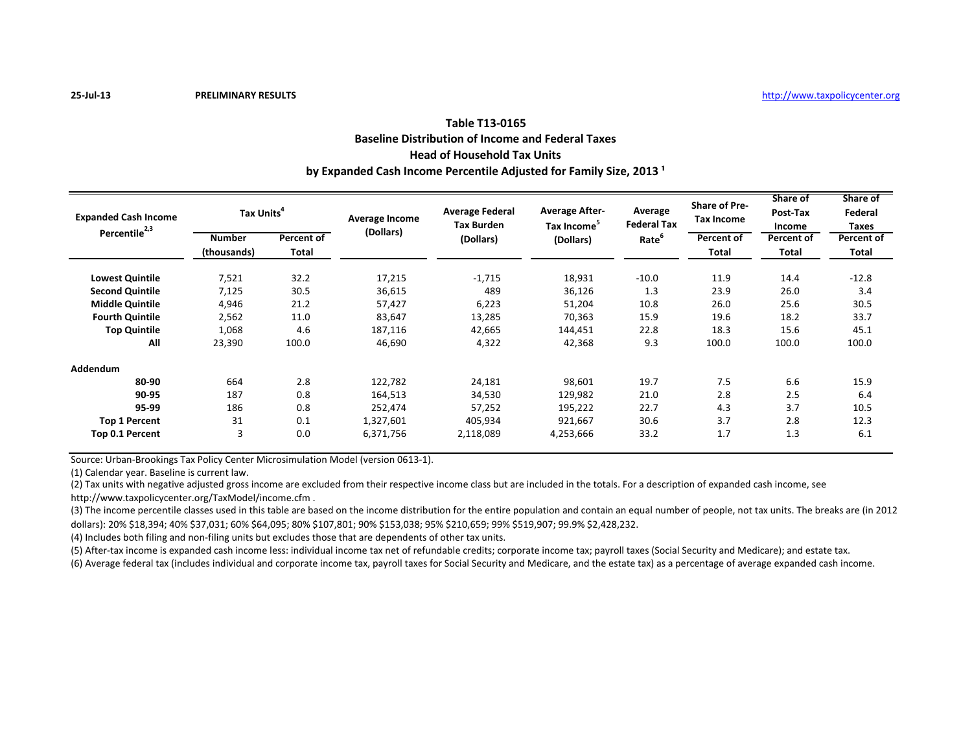## **Table T13-0165 Baseline Distribution of Income and Federal Taxes Head of Household Tax Units** by Expanded Cash Income Percentile Adjusted for Family Size, 2013<sup>1</sup>

| <b>Expanded Cash Income</b> | Tax Units <sup>4</sup> |            | Average Income | <b>Average Federal</b><br><b>Tax Burden</b> | <b>Average After-</b><br>Tax Income | Average<br><b>Federal Tax</b> | <b>Share of Pre-</b><br><b>Tax Income</b> | Share of<br>Post-Tax<br>Income | Share of<br>Federal<br><b>Taxes</b> |
|-----------------------------|------------------------|------------|----------------|---------------------------------------------|-------------------------------------|-------------------------------|-------------------------------------------|--------------------------------|-------------------------------------|
| Percentile <sup>2,3</sup>   | <b>Number</b>          | Percent of | (Dollars)      | (Dollars)                                   | (Dollars)                           | Rate                          | Percent of                                | Percent of                     | Percent of                          |
|                             | (thousands)            | Total      |                |                                             |                                     |                               | <b>Total</b>                              | Total                          | <b>Total</b>                        |
| <b>Lowest Quintile</b>      | 7,521                  | 32.2       | 17,215         | $-1,715$                                    | 18,931                              | $-10.0$                       | 11.9                                      | 14.4                           | $-12.8$                             |
| <b>Second Quintile</b>      | 7,125                  | 30.5       | 36,615         | 489                                         | 36,126                              | 1.3                           | 23.9                                      | 26.0                           | 3.4                                 |
| <b>Middle Quintile</b>      | 4,946                  | 21.2       | 57,427         | 6,223                                       | 51,204                              | 10.8                          | 26.0                                      | 25.6                           | 30.5                                |
| <b>Fourth Quintile</b>      | 2,562                  | 11.0       | 83,647         | 13,285                                      | 70,363                              | 15.9                          | 19.6                                      | 18.2                           | 33.7                                |
| <b>Top Quintile</b>         | 1,068                  | 4.6        | 187,116        | 42,665                                      | 144,451                             | 22.8                          | 18.3                                      | 15.6                           | 45.1                                |
| All                         | 23,390                 | 100.0      | 46,690         | 4,322                                       | 42,368                              | 9.3                           | 100.0                                     | 100.0                          | 100.0                               |
| <b>Addendum</b>             |                        |            |                |                                             |                                     |                               |                                           |                                |                                     |
| 80-90                       | 664                    | 2.8        | 122,782        | 24,181                                      | 98,601                              | 19.7                          | 7.5                                       | 6.6                            | 15.9                                |
| 90-95                       | 187                    | 0.8        | 164,513        | 34,530                                      | 129,982                             | 21.0                          | 2.8                                       | 2.5                            | 6.4                                 |
| 95-99                       | 186                    | 0.8        | 252,474        | 57,252                                      | 195,222                             | 22.7                          | 4.3                                       | 3.7                            | 10.5                                |
| <b>Top 1 Percent</b>        | 31                     | 0.1        | 1,327,601      | 405,934                                     | 921,667                             | 30.6                          | 3.7                                       | 2.8                            | 12.3                                |
| Top 0.1 Percent             | 3                      | 0.0        | 6,371,756      | 2,118,089                                   | 4,253,666                           | 33.2                          | 1.7                                       | 1.3                            | 6.1                                 |

Source: Urban-Brookings Tax Policy Center Microsimulation Model (version 0613-1).

(1) Calendar year. Baseline is current law.

(2) Tax units with negative adjusted gross income are excluded from their respective income class but are included in the totals. For a description of expanded cash income, see

http://www.taxpolicycenter.org/TaxModel/income.cfm .

(3) The income percentile classes used in this table are based on the income distribution for the entire population and contain an equal number of people, not tax units. The breaks are (in 2012 dollars): 20% \$18,394; 40% \$37,031; 60% \$64,095; 80% \$107,801; 90% \$153,038; 95% \$210,659; 99% \$519,907; 99.9% \$2,428,232.

(4) Includes both filing and non-filing units but excludes those that are dependents of other tax units.

(5) After-tax income is expanded cash income less: individual income tax net of refundable credits; corporate income tax; payroll taxes (Social Security and Medicare); and estate tax.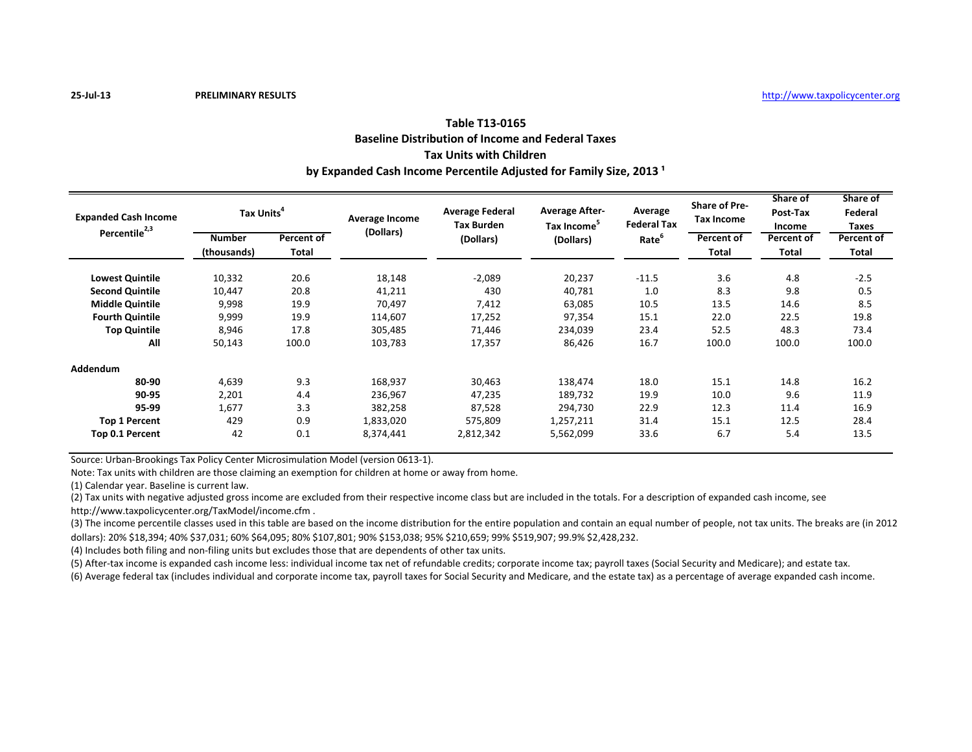# **Table T13-0165 Baseline Distribution of Income and Federal Taxes Tax Units with Children** by Expanded Cash Income Percentile Adjusted for Family Size, 2013<sup>1</sup>

| <b>Expanded Cash Income</b> | Tax Units <sup>4</sup>       |                            | Average Income | <b>Average Federal</b><br><b>Tax Burden</b> | <b>Average After-</b><br>Tax Income <sup>5</sup> | Average<br><b>Federal Tax</b> | <b>Share of Pre-</b><br><b>Tax Income</b> | Share of<br>Post-Tax<br>Income | Share of<br>Federal<br>Taxes |
|-----------------------------|------------------------------|----------------------------|----------------|---------------------------------------------|--------------------------------------------------|-------------------------------|-------------------------------------------|--------------------------------|------------------------------|
| Percentile <sup>2,3</sup>   | <b>Number</b><br>(thousands) | Percent of<br><b>Total</b> | (Dollars)      | (Dollars)                                   | (Dollars)                                        | Rate <sup>6</sup>             | Percent of<br><b>Total</b>                | Percent of<br>Total            | Percent of<br><b>Total</b>   |
| <b>Lowest Quintile</b>      | 10,332                       | 20.6                       | 18,148         | $-2,089$                                    | 20,237                                           | $-11.5$                       | 3.6                                       | 4.8                            | $-2.5$                       |
| <b>Second Quintile</b>      | 10,447                       | 20.8                       | 41,211         | 430                                         | 40,781                                           | 1.0                           | 8.3                                       | 9.8                            | 0.5                          |
| <b>Middle Quintile</b>      | 9,998                        | 19.9                       | 70,497         | 7,412                                       | 63,085                                           | 10.5                          | 13.5                                      | 14.6                           | 8.5                          |
| <b>Fourth Quintile</b>      | 9,999                        | 19.9                       | 114,607        | 17,252                                      | 97,354                                           | 15.1                          | 22.0                                      | 22.5                           | 19.8                         |
| <b>Top Quintile</b>         | 8,946                        | 17.8                       | 305,485        | 71,446                                      | 234,039                                          | 23.4                          | 52.5                                      | 48.3                           | 73.4                         |
| All                         | 50,143                       | 100.0                      | 103,783        | 17,357                                      | 86,426                                           | 16.7                          | 100.0                                     | 100.0                          | 100.0                        |
| <b>Addendum</b>             |                              |                            |                |                                             |                                                  |                               |                                           |                                |                              |
| 80-90                       | 4,639                        | 9.3                        | 168,937        | 30,463                                      | 138,474                                          | 18.0                          | 15.1                                      | 14.8                           | 16.2                         |
| 90-95                       | 2,201                        | 4.4                        | 236,967        | 47,235                                      | 189,732                                          | 19.9                          | 10.0                                      | 9.6                            | 11.9                         |
| 95-99                       | 1,677                        | 3.3                        | 382,258        | 87,528                                      | 294,730                                          | 22.9                          | 12.3                                      | 11.4                           | 16.9                         |
| <b>Top 1 Percent</b>        | 429                          | 0.9                        | 1,833,020      | 575,809                                     | 1,257,211                                        | 31.4                          | 15.1                                      | 12.5                           | 28.4                         |
| Top 0.1 Percent             | 42                           | 0.1                        | 8,374,441      | 2,812,342                                   | 5,562,099                                        | 33.6                          | 6.7                                       | 5.4                            | 13.5                         |

Source: Urban-Brookings Tax Policy Center Microsimulation Model (version 0613-1).

Note: Tax units with children are those claiming an exemption for children at home or away from home.

(1) Calendar year. Baseline is current law.

(2) Tax units with negative adjusted gross income are excluded from their respective income class but are included in the totals. For a description of expanded cash income, see http://www.taxpolicycenter.org/TaxModel/income.cfm .

(3) The income percentile classes used in this table are based on the income distribution for the entire population and contain an equal number of people, not tax units. The breaks are (in 2012 dollars): 20% \$18,394; 40% \$37,031; 60% \$64,095; 80% \$107,801; 90% \$153,038; 95% \$210,659; 99% \$519,907; 99.9% \$2,428,232.

(4) Includes both filing and non-filing units but excludes those that are dependents of other tax units.

(5) After-tax income is expanded cash income less: individual income tax net of refundable credits; corporate income tax; payroll taxes (Social Security and Medicare); and estate tax.